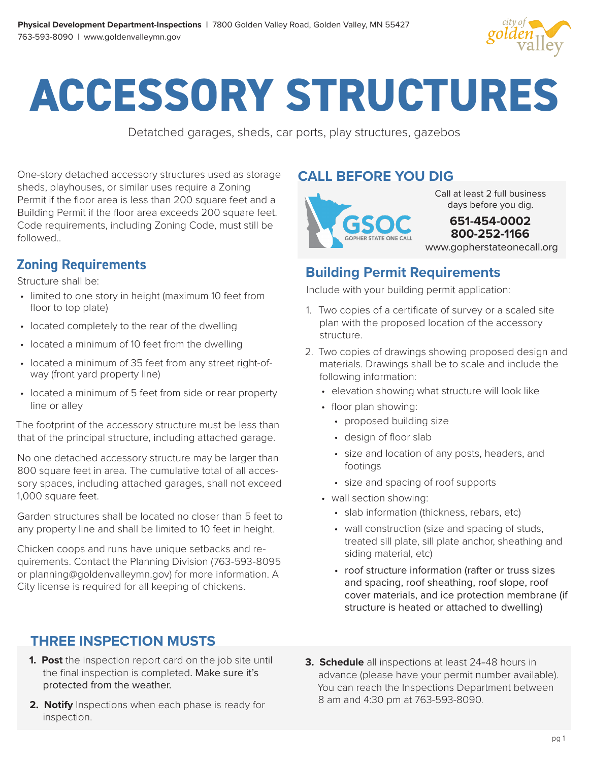

# **ACCESSORY STRUCTURES**

Detatched garages, sheds, car ports, play structures, gazebos

One-story detached accessory structures used as storage sheds, playhouses, or similar uses require a Zoning Permit if the floor area is less than 200 square feet and a Building Permit if the floor area exceeds 200 square feet. Code requirements, including Zoning Code, must still be followed..

#### **Zoning Requirements**

Structure shall be:

- limited to one story in height (maximum 10 feet from floor to top plate)
- located completely to the rear of the dwelling
- located a minimum of 10 feet from the dwelling
- located a minimum of 35 feet from any street right-ofway (front yard property line)
- located a minimum of 5 feet from side or rear property line or alley

The footprint of the accessory structure must be less than that of the principal structure, including attached garage.

No one detached accessory structure may be larger than 800 square feet in area. The cumulative total of all accessory spaces, including attached garages, shall not exceed 1,000 square feet.

Garden structures shall be located no closer than 5 feet to any property line and shall be limited to 10 feet in height.

Chicken coops and runs have unique setbacks and requirements. Contact the Planning Division (763-593-8095 or planning@goldenvalleymn.gov) for more information. A City license is required for all keeping of chickens.

#### **THREE INSPECTION MUSTS**

- **1. Post** the inspection report card on the job site until the final inspection is completed. Make sure it's protected from the weather.
- **2. Notify** Inspections when each phase is ready for inspection.

#### **CALL BEFORE YOU DIG**



Call at least 2 full business days before you dig.

www.gopherstateonecall.org **651-454-0002 800-252-1166**

#### **Building Permit Requirements**

Include with your building permit application:

- 1. Two copies of a certificate of survey or a scaled site plan with the proposed location of the accessory structure.
- 2. Two copies of drawings showing proposed design and materials. Drawings shall be to scale and include the following information:
	- elevation showing what structure will look like
	- floor plan showing:
		- proposed building size
		- design of floor slab
		- size and location of any posts, headers, and footings
		- size and spacing of roof supports
	- wall section showing:
		- slab information (thickness, rebars, etc)
		- wall construction (size and spacing of studs, treated sill plate, sill plate anchor, sheathing and siding material, etc)
		- roof structure information (rafter or truss sizes and spacing, roof sheathing, roof slope, roof cover materials, and ice protection membrane (if structure is heated or attached to dwelling)
- **3. Schedule** all inspections at least 24–48 hours in advance (please have your permit number available). You can reach the Inspections Department between 8 am and 4:30 pm at 763-593-8090.